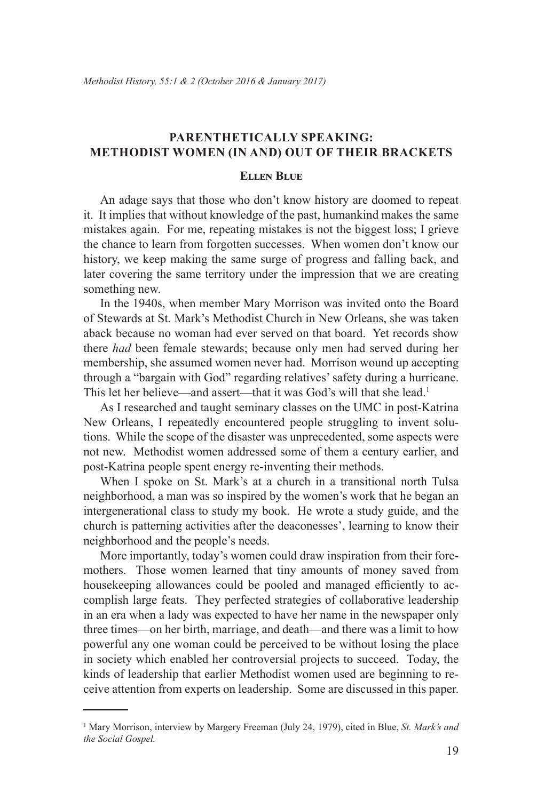# **Parenthetically Speaking: Methodist Women (In and) Out of Their Brackets**

# **Ellen Blue**

An adage says that those who don't know history are doomed to repeat it. It implies that without knowledge of the past, humankind makes the same mistakes again. For me, repeating mistakes is not the biggest loss; I grieve the chance to learn from forgotten successes. When women don't know our history, we keep making the same surge of progress and falling back, and later covering the same territory under the impression that we are creating something new.

In the 1940s, when member Mary Morrison was invited onto the Board of Stewards at St. Mark's Methodist Church in New Orleans, she was taken aback because no woman had ever served on that board. Yet records show there *had* been female stewards; because only men had served during her membership, she assumed women never had. Morrison wound up accepting through a "bargain with God" regarding relatives' safety during a hurricane. This let her believe—and assert—that it was God's will that she lead.<sup>1</sup>

As I researched and taught seminary classes on the UMC in post-Katrina New Orleans, I repeatedly encountered people struggling to invent solutions. While the scope of the disaster was unprecedented, some aspects were not new. Methodist women addressed some of them a century earlier, and post-Katrina people spent energy re-inventing their methods.

When I spoke on St. Mark's at a church in a transitional north Tulsa neighborhood, a man was so inspired by the women's work that he began an intergenerational class to study my book. He wrote a study guide, and the church is patterning activities after the deaconesses', learning to know their neighborhood and the people's needs.

More importantly, today's women could draw inspiration from their foremothers. Those women learned that tiny amounts of money saved from housekeeping allowances could be pooled and managed efficiently to accomplish large feats. They perfected strategies of collaborative leadership in an era when a lady was expected to have her name in the newspaper only three times—on her birth, marriage, and death—and there was a limit to how powerful any one woman could be perceived to be without losing the place in society which enabled her controversial projects to succeed. Today, the kinds of leadership that earlier Methodist women used are beginning to receive attention from experts on leadership. Some are discussed in this paper.

<sup>1</sup> Mary Morrison, interview by Margery Freeman (July 24, 1979), cited in Blue, *St. Mark's and the Social Gospel.*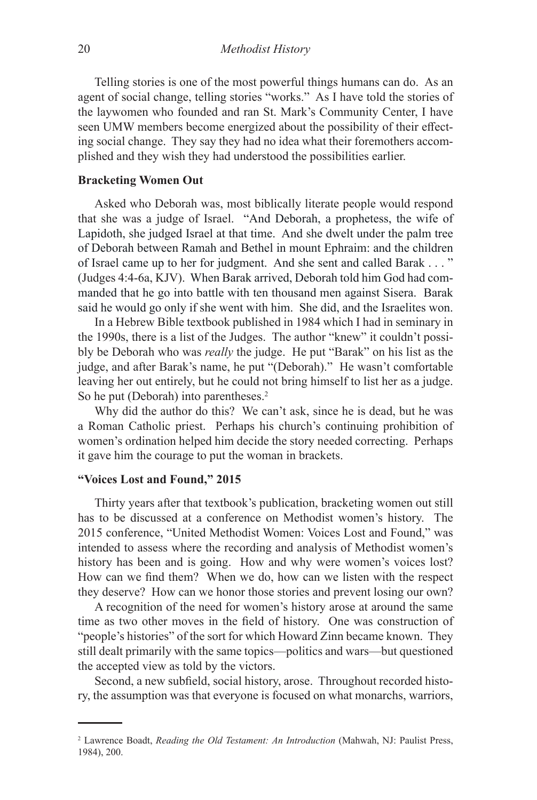Telling stories is one of the most powerful things humans can do. As an agent of social change, telling stories "works." As I have told the stories of the laywomen who founded and ran St. Mark's Community Center, I have seen UMW members become energized about the possibility of their effecting social change. They say they had no idea what their foremothers accomplished and they wish they had understood the possibilities earlier.

### **Bracketing Women Out**

Asked who Deborah was, most biblically literate people would respond that she was a judge of Israel. "And Deborah, a prophetess, the wife of Lapidoth, she judged Israel at that time. And she dwelt under the palm tree of Deborah between Ramah and Bethel in mount Ephraim: and the children of Israel came up to her for judgment. And she sent and called Barak . . . " (Judges 4:4-6a, KJV). When Barak arrived, Deborah told him God had commanded that he go into battle with ten thousand men against Sisera. Barak said he would go only if she went with him. She did, and the Israelites won.

In a Hebrew Bible textbook published in 1984 which I had in seminary in the 1990s, there is a list of the Judges. The author "knew" it couldn't possibly be Deborah who was *really* the judge. He put "Barak" on his list as the judge, and after Barak's name, he put "(Deborah)." He wasn't comfortable leaving her out entirely, but he could not bring himself to list her as a judge. So he put (Deborah) into parentheses.<sup>2</sup>

Why did the author do this? We can't ask, since he is dead, but he was a Roman Catholic priest. Perhaps his church's continuing prohibition of women's ordination helped him decide the story needed correcting. Perhaps it gave him the courage to put the woman in brackets.

### **"Voices Lost and Found," 2015**

Thirty years after that textbook's publication, bracketing women out still has to be discussed at a conference on Methodist women's history. The 2015 conference, "United Methodist Women: Voices Lost and Found," was intended to assess where the recording and analysis of Methodist women's history has been and is going. How and why were women's voices lost? How can we find them? When we do, how can we listen with the respect they deserve? How can we honor those stories and prevent losing our own?

A recognition of the need for women's history arose at around the same time as two other moves in the field of history. One was construction of "people's histories" of the sort for which Howard Zinn became known. They still dealt primarily with the same topics—politics and wars—but questioned the accepted view as told by the victors.

Second, a new subfield, social history, arose. Throughout recorded history, the assumption was that everyone is focused on what monarchs, warriors,

<sup>2</sup> Lawrence Boadt, *Reading the Old Testament: An Introduction* (Mahwah, NJ: Paulist Press, 1984), 200.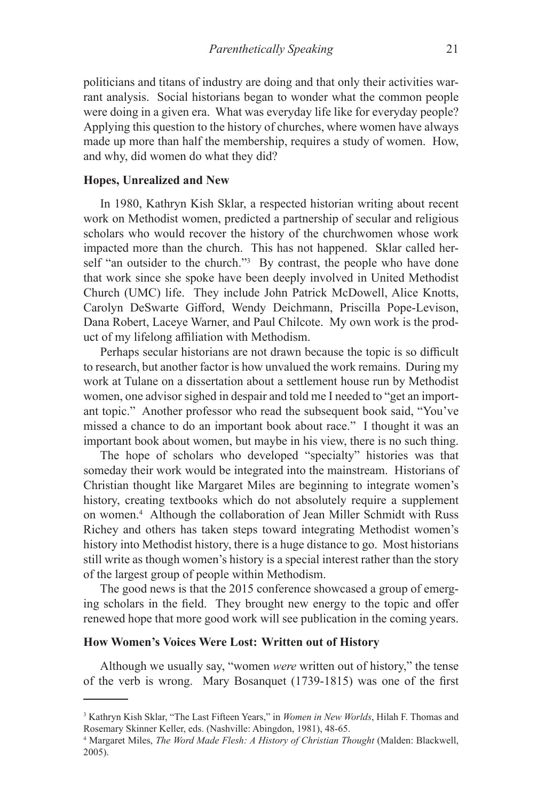politicians and titans of industry are doing and that only their activities warrant analysis. Social historians began to wonder what the common people were doing in a given era. What was everyday life like for everyday people? Applying this question to the history of churches, where women have always made up more than half the membership, requires a study of women. How, and why, did women do what they did?

#### **Hopes, Unrealized and New**

In 1980, Kathryn Kish Sklar, a respected historian writing about recent work on Methodist women, predicted a partnership of secular and religious scholars who would recover the history of the churchwomen whose work impacted more than the church. This has not happened. Sklar called herself "an outsider to the church."<sup>3</sup> By contrast, the people who have done that work since she spoke have been deeply involved in United Methodist Church (UMC) life. They include John Patrick McDowell, Alice Knotts, Carolyn DeSwarte Gifford, Wendy Deichmann, Priscilla Pope-Levison, Dana Robert, Laceye Warner, and Paul Chilcote. My own work is the product of my lifelong affiliation with Methodism.

Perhaps secular historians are not drawn because the topic is so difficult to research, but another factor is how unvalued the work remains. During my work at Tulane on a dissertation about a settlement house run by Methodist women, one advisor sighed in despair and told me I needed to "get an important topic." Another professor who read the subsequent book said, "You've missed a chance to do an important book about race." I thought it was an important book about women, but maybe in his view, there is no such thing.

The hope of scholars who developed "specialty" histories was that someday their work would be integrated into the mainstream. Historians of Christian thought like Margaret Miles are beginning to integrate women's history, creating textbooks which do not absolutely require a supplement on women.4 Although the collaboration of Jean Miller Schmidt with Russ Richey and others has taken steps toward integrating Methodist women's history into Methodist history, there is a huge distance to go. Most historians still write as though women's history is a special interest rather than the story of the largest group of people within Methodism.

The good news is that the 2015 conference showcased a group of emerging scholars in the field. They brought new energy to the topic and offer renewed hope that more good work will see publication in the coming years.

#### **How Women's Voices Were Lost: Written out of History**

Although we usually say, "women *were* written out of history," the tense of the verb is wrong. Mary Bosanquet (1739-1815) was one of the first

<sup>3</sup> Kathryn Kish Sklar, "The Last Fifteen Years," in *Women in New Worlds*, Hilah F. Thomas and Rosemary Skinner Keller, eds. (Nashville: Abingdon, 1981), 48-65.

<sup>4</sup> Margaret Miles, *The Word Made Flesh: A History of Christian Thought* (Malden: Blackwell, 2005).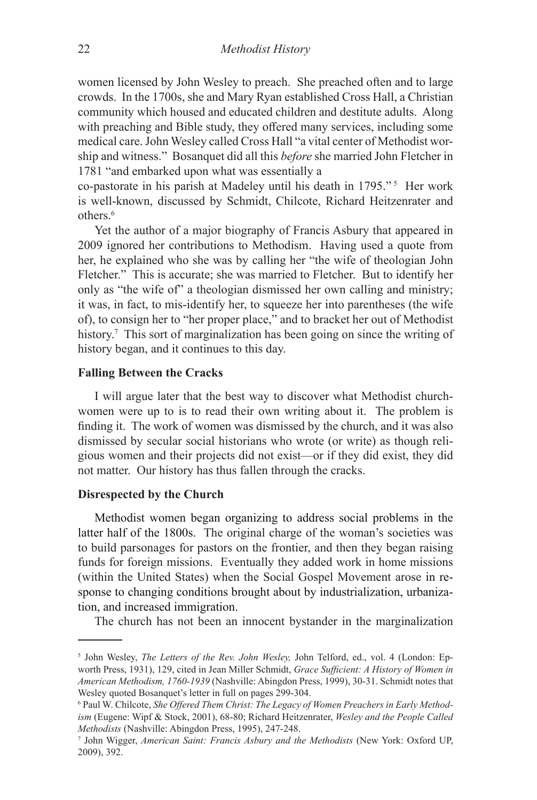women licensed by John Wesley to preach. She preached often and to large crowds. In the 1700s, she and Mary Ryan established Cross Hall, a Christian community which housed and educated children and destitute adults. Along with preaching and Bible study, they offered many services, including some medical care. John Wesley called Cross Hall "a vital center of Methodist worship and witness." Bosanquet did all this *before* she married John Fletcher in 1781 "and embarked upon what was essentially a

co-pastorate in his parish at Madeley until his death in 1795." 5 Her work is well-known, discussed by Schmidt, Chilcote, Richard Heitzenrater and others.<sup>6</sup>

Yet the author of a major biography of Francis Asbury that appeared in 2009 ignored her contributions to Methodism. Having used a quote from her, he explained who she was by calling her "the wife of theologian John Fletcher." This is accurate; she was married to Fletcher. But to identify her only as "the wife of" a theologian dismissed her own calling and ministry; it was, in fact, to mis-identify her, to squeeze her into parentheses (the wife of), to consign her to "her proper place," and to bracket her out of Methodist history.<sup>7</sup> This sort of marginalization has been going on since the writing of history began, and it continues to this day.

# **Falling Between the Cracks**

I will argue later that the best way to discover what Methodist churchwomen were up to is to read their own writing about it. The problem is finding it. The work of women was dismissed by the church, and it was also dismissed by secular social historians who wrote (or write) as though religious women and their projects did not exist—or if they did exist, they did not matter. Our history has thus fallen through the cracks.

# **Disrespected by the Church**

Methodist women began organizing to address social problems in the latter half of the 1800s. The original charge of the woman's societies was to build parsonages for pastors on the frontier, and then they began raising funds for foreign missions. Eventually they added work in home missions (within the United States) when the Social Gospel Movement arose in response to changing conditions brought about by industrialization, urbanization, and increased immigration.

The church has not been an innocent bystander in the marginalization

<sup>5</sup> John Wesley, *The Letters of the Rev. John Wesley,* John Telford, ed., vol. 4 (London: Epworth Press, 1931), 129, cited in Jean Miller Schmidt, *Grace Sufficient: A History of Women in American Methodism, 1760-1939* (Nashville: Abingdon Press, 1999), 30-31. Schmidt notes that Wesley quoted Bosanquet's letter in full on pages 299-304.

<sup>6</sup> Paul W. Chilcote, *She Offered Them Christ: The Legacy of Women Preachers in Early Methodism* (Eugene: Wipf & Stock, 2001), 68-80; Richard Heitzenrater, *Wesley and the People Called Methodists* (Nashville: Abingdon Press, 1995), 247-248.

<sup>7</sup> John Wigger, *American Saint: Francis Asbury and the Methodists* (New York: Oxford UP, 2009), 392.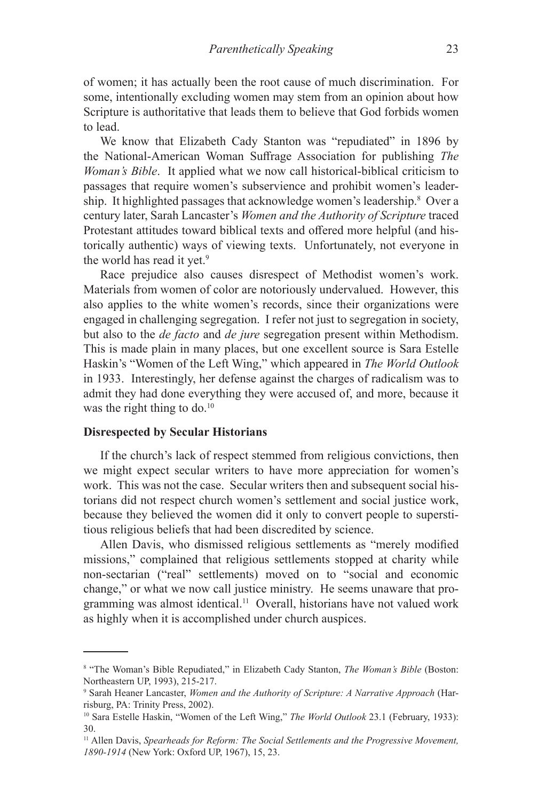of women; it has actually been the root cause of much discrimination. For some, intentionally excluding women may stem from an opinion about how Scripture is authoritative that leads them to believe that God forbids women to lead.

We know that Elizabeth Cady Stanton was "repudiated" in 1896 by the National-American Woman Suffrage Association for publishing *The Woman's Bible*. It applied what we now call historical-biblical criticism to passages that require women's subservience and prohibit women's leadership. It highlighted passages that acknowledge women's leadership.<sup>8</sup> Over a century later, Sarah Lancaster's *Women and the Authority of Scripture* traced Protestant attitudes toward biblical texts and offered more helpful (and historically authentic) ways of viewing texts. Unfortunately, not everyone in the world has read it yet.<sup>9</sup>

Race prejudice also causes disrespect of Methodist women's work. Materials from women of color are notoriously undervalued. However, this also applies to the white women's records, since their organizations were engaged in challenging segregation. I refer not just to segregation in society, but also to the *de facto* and *de jure* segregation present within Methodism. This is made plain in many places, but one excellent source is Sara Estelle Haskin's "Women of the Left Wing," which appeared in *The World Outlook* in 1933. Interestingly, her defense against the charges of radicalism was to admit they had done everything they were accused of, and more, because it was the right thing to do.<sup>10</sup>

### **Disrespected by Secular Historians**

If the church's lack of respect stemmed from religious convictions, then we might expect secular writers to have more appreciation for women's work. This was not the case. Secular writers then and subsequent social historians did not respect church women's settlement and social justice work, because they believed the women did it only to convert people to superstitious religious beliefs that had been discredited by science.

Allen Davis, who dismissed religious settlements as "merely modified missions," complained that religious settlements stopped at charity while non-sectarian ("real" settlements) moved on to "social and economic change," or what we now call justice ministry. He seems unaware that programming was almost identical.<sup>11</sup> Overall, historians have not valued work as highly when it is accomplished under church auspices.

<sup>8</sup> "The Woman's Bible Repudiated," in Elizabeth Cady Stanton, *The Woman's Bible* (Boston: Northeastern UP, 1993), 215-217.

<sup>9</sup> Sarah Heaner Lancaster, *Women and the Authority of Scripture: A Narrative Approach* (Harrisburg, PA: Trinity Press, 2002).

<sup>10</sup> Sara Estelle Haskin, "Women of the Left Wing," *The World Outlook* 23.1 (February, 1933): 30.

<sup>11</sup> Allen Davis, *Spearheads for Reform: The Social Settlements and the Progressive Movement, 1890-1914* (New York: Oxford UP, 1967), 15, 23.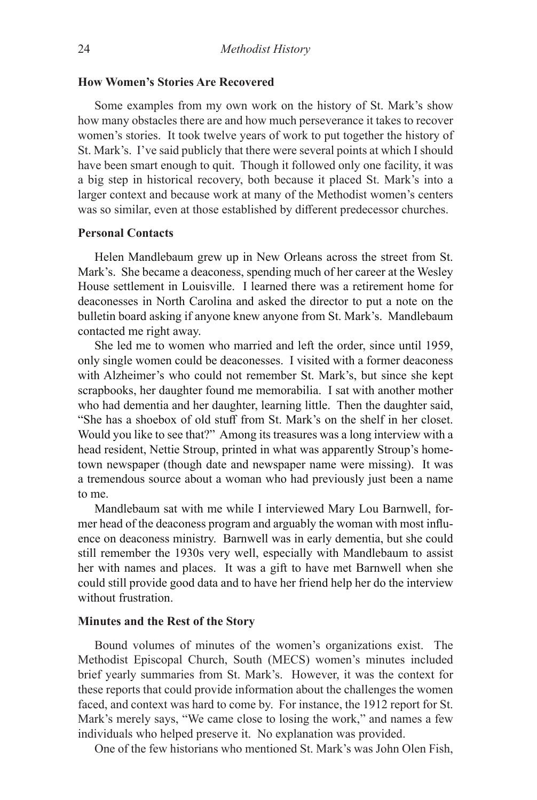### **How Women's Stories Are Recovered**

Some examples from my own work on the history of St. Mark's show how many obstacles there are and how much perseverance it takes to recover women's stories. It took twelve years of work to put together the history of St. Mark's. I've said publicly that there were several points at which I should have been smart enough to quit. Though it followed only one facility, it was a big step in historical recovery, both because it placed St. Mark's into a larger context and because work at many of the Methodist women's centers was so similar, even at those established by different predecessor churches.

# **Personal Contacts**

Helen Mandlebaum grew up in New Orleans across the street from St. Mark's. She became a deaconess, spending much of her career at the Wesley House settlement in Louisville. I learned there was a retirement home for deaconesses in North Carolina and asked the director to put a note on the bulletin board asking if anyone knew anyone from St. Mark's. Mandlebaum contacted me right away.

She led me to women who married and left the order, since until 1959, only single women could be deaconesses. I visited with a former deaconess with Alzheimer's who could not remember St. Mark's, but since she kept scrapbooks, her daughter found me memorabilia. I sat with another mother who had dementia and her daughter, learning little. Then the daughter said, "She has a shoebox of old stuff from St. Mark's on the shelf in her closet. Would you like to see that?" Among its treasures was a long interview with a head resident, Nettie Stroup, printed in what was apparently Stroup's hometown newspaper (though date and newspaper name were missing). It was a tremendous source about a woman who had previously just been a name to me.

Mandlebaum sat with me while I interviewed Mary Lou Barnwell, former head of the deaconess program and arguably the woman with most influence on deaconess ministry. Barnwell was in early dementia, but she could still remember the 1930s very well, especially with Mandlebaum to assist her with names and places. It was a gift to have met Barnwell when she could still provide good data and to have her friend help her do the interview without frustration.

#### **Minutes and the Rest of the Story**

Bound volumes of minutes of the women's organizations exist. The Methodist Episcopal Church, South (MECS) women's minutes included brief yearly summaries from St. Mark's. However, it was the context for these reports that could provide information about the challenges the women faced, and context was hard to come by. For instance, the 1912 report for St. Mark's merely says, "We came close to losing the work," and names a few individuals who helped preserve it. No explanation was provided.

One of the few historians who mentioned St. Mark's was John Olen Fish,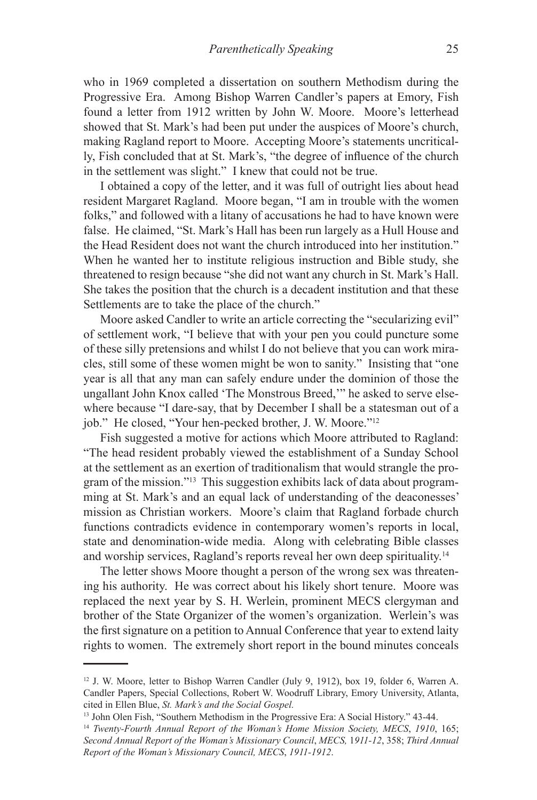who in 1969 completed a dissertation on southern Methodism during the Progressive Era. Among Bishop Warren Candler's papers at Emory, Fish found a letter from 1912 written by John W. Moore. Moore's letterhead showed that St. Mark's had been put under the auspices of Moore's church, making Ragland report to Moore. Accepting Moore's statements uncritically, Fish concluded that at St. Mark's, "the degree of influence of the church in the settlement was slight." I knew that could not be true.

I obtained a copy of the letter, and it was full of outright lies about head resident Margaret Ragland. Moore began, "I am in trouble with the women folks," and followed with a litany of accusations he had to have known were false. He claimed, "St. Mark's Hall has been run largely as a Hull House and the Head Resident does not want the church introduced into her institution." When he wanted her to institute religious instruction and Bible study, she threatened to resign because "she did not want any church in St. Mark's Hall. She takes the position that the church is a decadent institution and that these Settlements are to take the place of the church."

Moore asked Candler to write an article correcting the "secularizing evil" of settlement work, "I believe that with your pen you could puncture some of these silly pretensions and whilst I do not believe that you can work miracles, still some of these women might be won to sanity." Insisting that "one year is all that any man can safely endure under the dominion of those the ungallant John Knox called 'The Monstrous Breed,'" he asked to serve elsewhere because "I dare-say, that by December I shall be a statesman out of a job." He closed, "Your hen-pecked brother, J. W. Moore."<sup>12</sup>

Fish suggested a motive for actions which Moore attributed to Ragland: "The head resident probably viewed the establishment of a Sunday School at the settlement as an exertion of traditionalism that would strangle the program of the mission."13 This suggestion exhibits lack of data about programming at St. Mark's and an equal lack of understanding of the deaconesses' mission as Christian workers. Moore's claim that Ragland forbade church functions contradicts evidence in contemporary women's reports in local, state and denomination-wide media. Along with celebrating Bible classes and worship services, Ragland's reports reveal her own deep spirituality.14

The letter shows Moore thought a person of the wrong sex was threatening his authority. He was correct about his likely short tenure. Moore was replaced the next year by S. H. Werlein, prominent MECS clergyman and brother of the State Organizer of the women's organization. Werlein's was the first signature on a petition to Annual Conference that year to extend laity rights to women. The extremely short report in the bound minutes conceals

13 John Olen Fish, "Southern Methodism in the Progressive Era: A Social History." 43-44.

<sup>12</sup> J. W. Moore, letter to Bishop Warren Candler (July 9, 1912), box 19, folder 6, Warren A. Candler Papers, Special Collections, Robert W. Woodruff Library, Emory University, Atlanta, cited in Ellen Blue, *St. Mark's and the Social Gospel.*

<sup>14</sup> *Twenty-Fourth Annual Report of the Woman's Home Mission Society, MECS*, *1910*, 165; *Second Annual Report of the Woman's Missionary Council*, *MECS,* 1*911-12*, 358; *Third Annual Report of the Woman's Missionary Council, MECS*, *1911-1912*.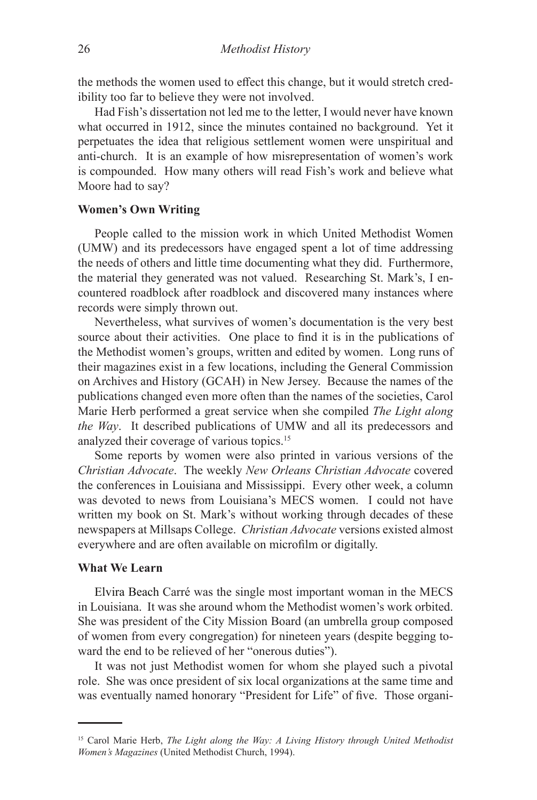the methods the women used to effect this change, but it would stretch credibility too far to believe they were not involved.

Had Fish's dissertation not led me to the letter, I would never have known what occurred in 1912, since the minutes contained no background. Yet it perpetuates the idea that religious settlement women were unspiritual and anti-church. It is an example of how misrepresentation of women's work is compounded. How many others will read Fish's work and believe what Moore had to say?

### **Women's Own Writing**

People called to the mission work in which United Methodist Women (UMW) and its predecessors have engaged spent a lot of time addressing the needs of others and little time documenting what they did. Furthermore, the material they generated was not valued. Researching St. Mark's, I encountered roadblock after roadblock and discovered many instances where records were simply thrown out.

Nevertheless, what survives of women's documentation is the very best source about their activities. One place to find it is in the publications of the Methodist women's groups, written and edited by women. Long runs of their magazines exist in a few locations, including the General Commission on Archives and History (GCAH) in New Jersey. Because the names of the publications changed even more often than the names of the societies, Carol Marie Herb performed a great service when she compiled *The Light along the Way*. It described publications of UMW and all its predecessors and analyzed their coverage of various topics.15

Some reports by women were also printed in various versions of the *Christian Advocate*. The weekly *New Orleans Christian Advocate* covered the conferences in Louisiana and Mississippi. Every other week, a column was devoted to news from Louisiana's MECS women. I could not have written my book on St. Mark's without working through decades of these newspapers at Millsaps College. *Christian Advocate* versions existed almost everywhere and are often available on microfilm or digitally.

#### **What We Learn**

Elvira Beach Carré was the single most important woman in the MECS in Louisiana. It was she around whom the Methodist women's work orbited. She was president of the City Mission Board (an umbrella group composed of women from every congregation) for nineteen years (despite begging toward the end to be relieved of her "onerous duties").

It was not just Methodist women for whom she played such a pivotal role. She was once president of six local organizations at the same time and was eventually named honorary "President for Life" of five. Those organi-

<sup>15</sup> Carol Marie Herb, *The Light along the Way: A Living History through United Methodist Women's Magazines* (United Methodist Church, 1994).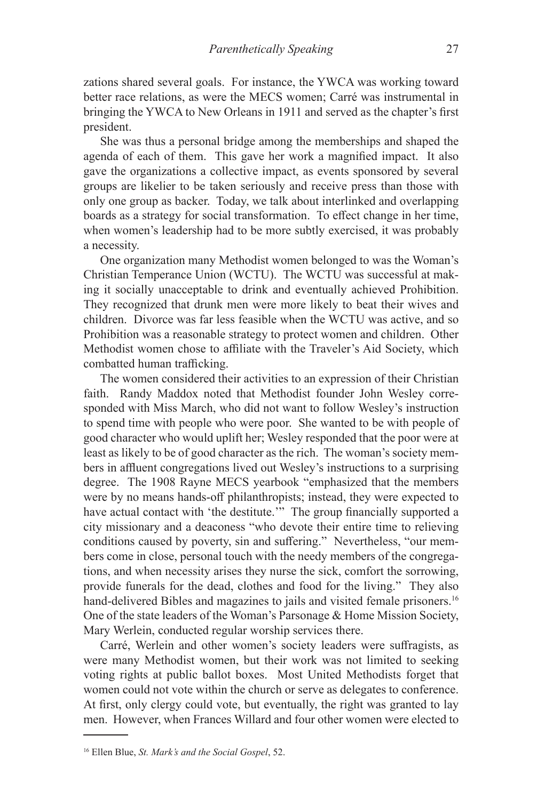zations shared several goals. For instance, the YWCA was working toward better race relations, as were the MECS women; Carré was instrumental in bringing the YWCA to New Orleans in 1911 and served as the chapter's first president.

She was thus a personal bridge among the memberships and shaped the agenda of each of them. This gave her work a magnified impact. It also gave the organizations a collective impact, as events sponsored by several groups are likelier to be taken seriously and receive press than those with only one group as backer. Today, we talk about interlinked and overlapping boards as a strategy for social transformation. To effect change in her time, when women's leadership had to be more subtly exercised, it was probably a necessity.

One organization many Methodist women belonged to was the Woman's Christian Temperance Union (WCTU). The WCTU was successful at making it socially unacceptable to drink and eventually achieved Prohibition. They recognized that drunk men were more likely to beat their wives and children. Divorce was far less feasible when the WCTU was active, and so Prohibition was a reasonable strategy to protect women and children. Other Methodist women chose to affiliate with the Traveler's Aid Society, which combatted human trafficking.

The women considered their activities to an expression of their Christian faith. Randy Maddox noted that Methodist founder John Wesley corresponded with Miss March, who did not want to follow Wesley's instruction to spend time with people who were poor. She wanted to be with people of good character who would uplift her; Wesley responded that the poor were at least as likely to be of good character as the rich. The woman's society members in affluent congregations lived out Wesley's instructions to a surprising degree. The 1908 Rayne MECS yearbook "emphasized that the members were by no means hands-off philanthropists; instead, they were expected to have actual contact with 'the destitute.'" The group financially supported a city missionary and a deaconess "who devote their entire time to relieving conditions caused by poverty, sin and suffering." Nevertheless, "our members come in close, personal touch with the needy members of the congregations, and when necessity arises they nurse the sick, comfort the sorrowing, provide funerals for the dead, clothes and food for the living." They also hand-delivered Bibles and magazines to jails and visited female prisoners.<sup>16</sup> One of the state leaders of the Woman's Parsonage & Home Mission Society, Mary Werlein, conducted regular worship services there.

Carré, Werlein and other women's society leaders were suffragists, as were many Methodist women, but their work was not limited to seeking voting rights at public ballot boxes. Most United Methodists forget that women could not vote within the church or serve as delegates to conference. At first, only clergy could vote, but eventually, the right was granted to lay men. However, when Frances Willard and four other women were elected to

<sup>16</sup> Ellen Blue, *St. Mark's and the Social Gospel*, 52.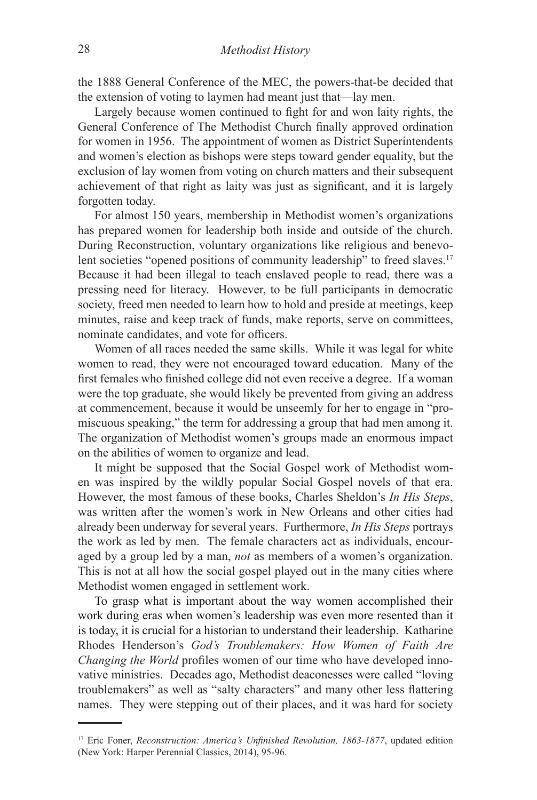the 1888 General Conference of the MEC, the powers-that-be decided that the extension of voting to laymen had meant just that—lay men.

Largely because women continued to fight for and won laity rights, the General Conference of The Methodist Church finally approved ordination for women in 1956. The appointment of women as District Superintendents and women's election as bishops were steps toward gender equality, but the exclusion of lay women from voting on church matters and their subsequent achievement of that right as laity was just as significant, and it is largely forgotten today.

For almost 150 years, membership in Methodist women's organizations has prepared women for leadership both inside and outside of the church. During Reconstruction, voluntary organizations like religious and benevolent societies "opened positions of community leadership" to freed slaves.<sup>17</sup> Because it had been illegal to teach enslaved people to read, there was a pressing need for literacy. However, to be full participants in democratic society, freed men needed to learn how to hold and preside at meetings, keep minutes, raise and keep track of funds, make reports, serve on committees, nominate candidates, and vote for officers.

Women of all races needed the same skills. While it was legal for white women to read, they were not encouraged toward education. Many of the first females who finished college did not even receive a degree. If a woman were the top graduate, she would likely be prevented from giving an address at commencement, because it would be unseemly for her to engage in "promiscuous speaking," the term for addressing a group that had men among it. The organization of Methodist women's groups made an enormous impact on the abilities of women to organize and lead.

It might be supposed that the Social Gospel work of Methodist women was inspired by the wildly popular Social Gospel novels of that era. However, the most famous of these books, Charles Sheldon's *In His Steps*, was written after the women's work in New Orleans and other cities had already been underway for several years. Furthermore, *In His Steps* portrays the work as led by men. The female characters act as individuals, encouraged by a group led by a man, *not* as members of a women's organization. This is not at all how the social gospel played out in the many cities where Methodist women engaged in settlement work.

To grasp what is important about the way women accomplished their work during eras when women's leadership was even more resented than it is today, it is crucial for a historian to understand their leadership. Katharine Rhodes Henderson's *God's Troublemakers: How Women of Faith Are Changing the World* profiles women of our time who have developed innovative ministries. Decades ago, Methodist deaconesses were called "loving troublemakers" as well as "salty characters" and many other less flattering names. They were stepping out of their places, and it was hard for society

<sup>&</sup>lt;sup>17</sup> Eric Foner, *Reconstruction: America's Unfinished Revolution, 1863-1877*, updated edition (New York: Harper Perennial Classics, 2014), 95-96.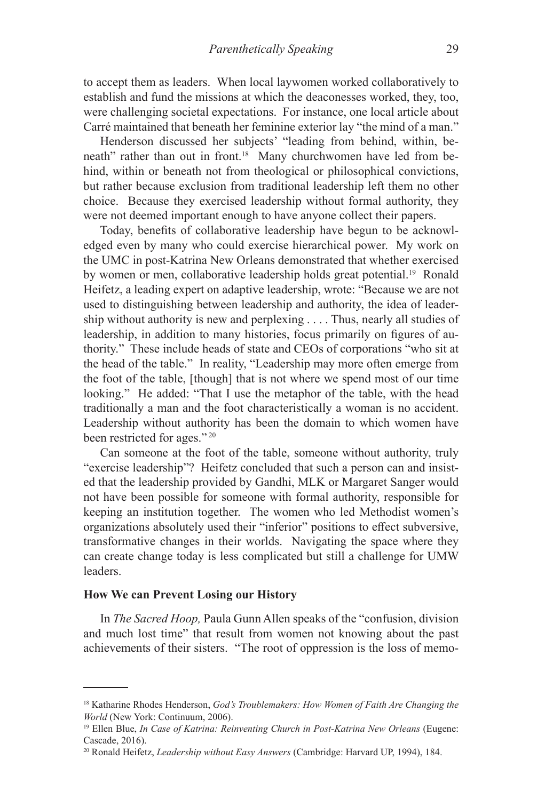to accept them as leaders. When local laywomen worked collaboratively to establish and fund the missions at which the deaconesses worked, they, too, were challenging societal expectations. For instance, one local article about Carré maintained that beneath her feminine exterior lay "the mind of a man."

Henderson discussed her subjects' "leading from behind, within, beneath" rather than out in front.<sup>18</sup> Many churchwomen have led from behind, within or beneath not from theological or philosophical convictions, but rather because exclusion from traditional leadership left them no other choice. Because they exercised leadership without formal authority, they were not deemed important enough to have anyone collect their papers.

Today, benefits of collaborative leadership have begun to be acknowledged even by many who could exercise hierarchical power. My work on the UMC in post-Katrina New Orleans demonstrated that whether exercised by women or men, collaborative leadership holds great potential.<sup>19</sup> Ronald Heifetz, a leading expert on adaptive leadership, wrote: "Because we are not used to distinguishing between leadership and authority, the idea of leadership without authority is new and perplexing . . . . Thus, nearly all studies of leadership, in addition to many histories, focus primarily on figures of authority." These include heads of state and CEOs of corporations "who sit at the head of the table." In reality, "Leadership may more often emerge from the foot of the table, [though] that is not where we spend most of our time looking." He added: "That I use the metaphor of the table, with the head traditionally a man and the foot characteristically a woman is no accident. Leadership without authority has been the domain to which women have been restricted for ages." 20

Can someone at the foot of the table, someone without authority, truly "exercise leadership"? Heifetz concluded that such a person can and insisted that the leadership provided by Gandhi, MLK or Margaret Sanger would not have been possible for someone with formal authority, responsible for keeping an institution together. The women who led Methodist women's organizations absolutely used their "inferior" positions to effect subversive, transformative changes in their worlds. Navigating the space where they can create change today is less complicated but still a challenge for UMW leaders.

# **How We can Prevent Losing our History**

In *The Sacred Hoop,* Paula Gunn Allen speaks of the "confusion, division and much lost time" that result from women not knowing about the past achievements of their sisters. "The root of oppression is the loss of memo-

<sup>18</sup> Katharine Rhodes Henderson, *God's Troublemakers: How Women of Faith Are Changing the World* (New York: Continuum, 2006).

<sup>&</sup>lt;sup>19</sup> Ellen Blue, *In Case of Katrina: Reinventing Church in Post-Katrina New Orleans* (Eugene: Cascade, 2016).

<sup>20</sup> Ronald Heifetz, *Leadership without Easy Answers* (Cambridge: Harvard UP, 1994), 184.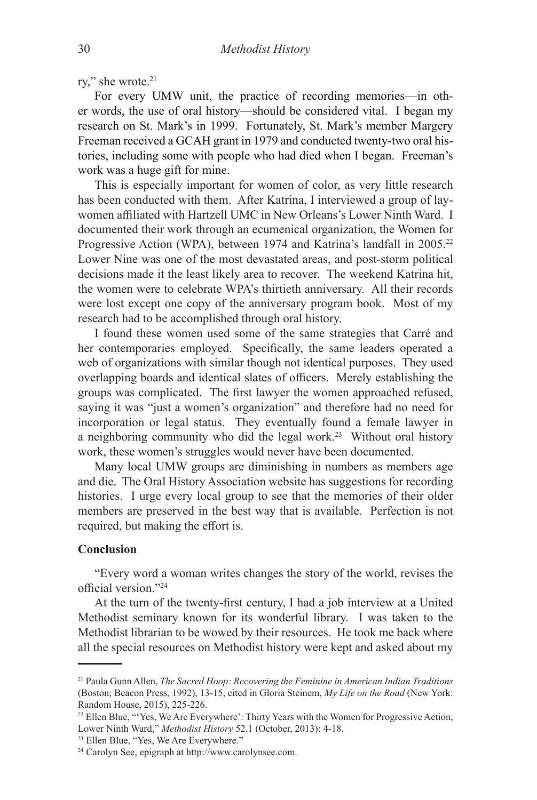rv," she wrote.<sup>21</sup>

For every UMW unit, the practice of recording memories—in other words, the use of oral history—should be considered vital. I began my research on St. Mark's in 1999. Fortunately, St. Mark's member Margery Freeman received a GCAH grant in 1979 and conducted twenty-two oral histories, including some with people who had died when I began. Freeman's work was a huge gift for mine.

This is especially important for women of color, as very little research has been conducted with them. After Katrina, I interviewed a group of laywomen affiliated with Hartzell UMC in New Orleans's Lower Ninth Ward. I documented their work through an ecumenical organization, the Women for Progressive Action (WPA), between 1974 and Katrina's landfall in 2005.<sup>22</sup> Lower Nine was one of the most devastated areas, and post-storm political decisions made it the least likely area to recover. The weekend Katrina hit, the women were to celebrate WPA's thirtieth anniversary. All their records were lost except one copy of the anniversary program book. Most of my research had to be accomplished through oral history.

I found these women used some of the same strategies that Carré and her contemporaries employed. Specifically, the same leaders operated a web of organizations with similar though not identical purposes. They used overlapping boards and identical slates of officers. Merely establishing the groups was complicated. The first lawyer the women approached refused, saying it was "just a women's organization" and therefore had no need for incorporation or legal status. They eventually found a female lawyer in a neighboring community who did the legal work.<sup>23</sup> Without oral history work, these women's struggles would never have been documented.

Many local UMW groups are diminishing in numbers as members age and die. The Oral History Association website has suggestions for recording histories. I urge every local group to see that the memories of their older members are preserved in the best way that is available. Perfection is not required, but making the effort is.

# **Conclusion**

"Every word a woman writes changes the story of the world, revises the official version."24

At the turn of the twenty-first century, I had a job interview at a United Methodist seminary known for its wonderful library. I was taken to the Methodist librarian to be wowed by their resources. He took me back where all the special resources on Methodist history were kept and asked about my

<sup>21</sup> Paula Gunn Allen, *The Sacred Hoop: Recovering the Feminine in American Indian Traditions* (Boston; Beacon Press, 1992), 13-15, cited in Gloria Steinem, *My Life on the Road* (New York: Random House, 2015), 225-226.

<sup>&</sup>lt;sup>22</sup> Ellen Blue, "'Yes, We Are Everywhere': Thirty Years with the Women for Progressive Action, Lower Ninth Ward," *Methodist History* 52.1 (October, 2013): 4-18.

<sup>23</sup> Ellen Blue, "Yes, We Are Everywhere."

<sup>24</sup> Carolyn See, epigraph at http://www.carolynsee.com.